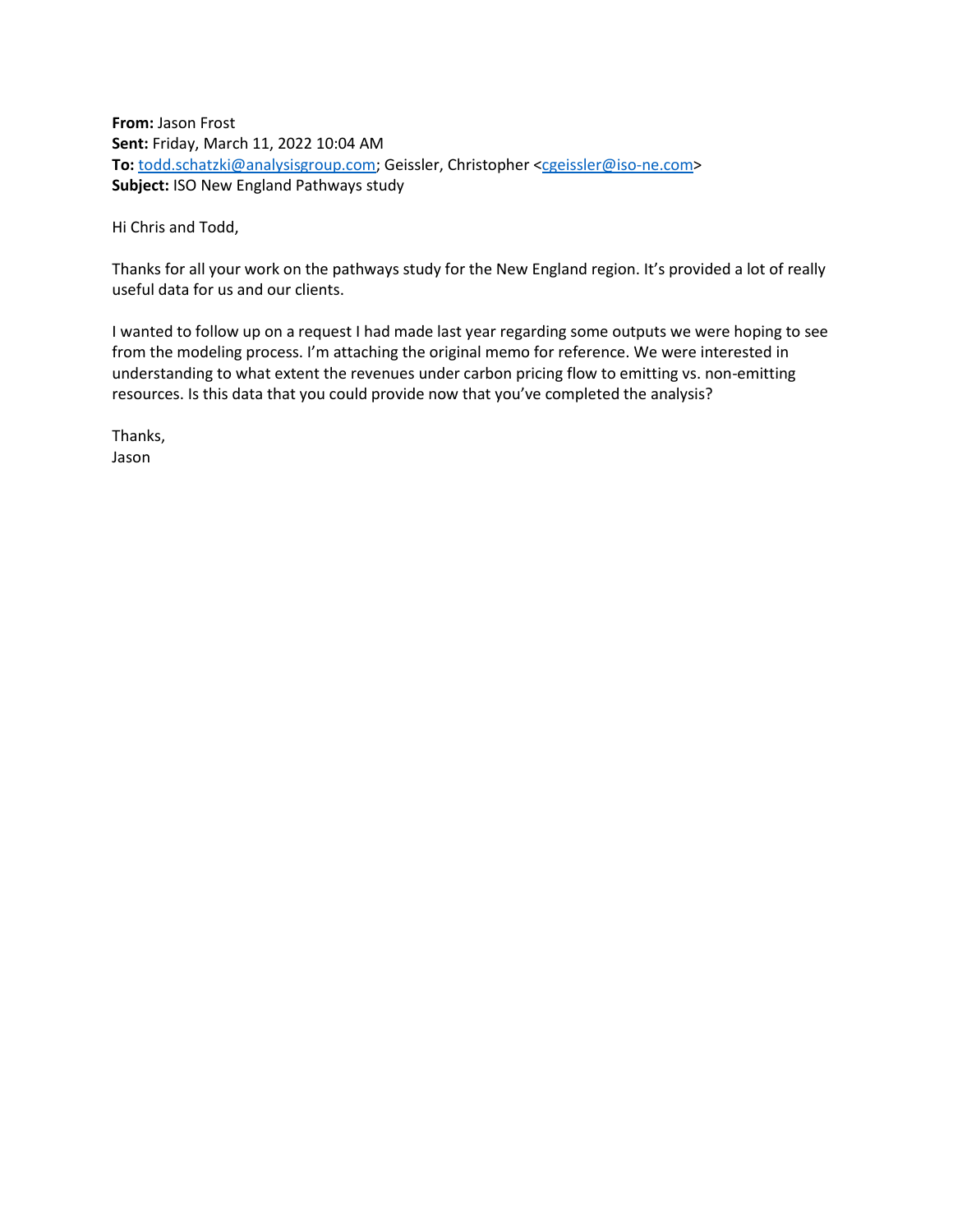**From:** Jason Frost **Sent:** Friday, March 11, 2022 10:04 AM To: [todd.schatzki@analysisgroup.com;](mailto:todd.schatzki@analysisgroup.com) Geissler, Christopher [<cgeissler@iso-ne.com>](mailto:cgeissler@iso-ne.com) **Subject:** ISO New England Pathways study

Hi Chris and Todd,

Thanks for all your work on the pathways study for the New England region. It's provided a lot of really useful data for us and our clients.

I wanted to follow up on a request I had made last year regarding some outputs we were hoping to see from the modeling process. I'm attaching the original memo for reference. We were interested in understanding to what extent the revenues under carbon pricing flow to emitting vs. non-emitting resources. Is this data that you could provide now that you've completed the analysis?

Thanks, Jason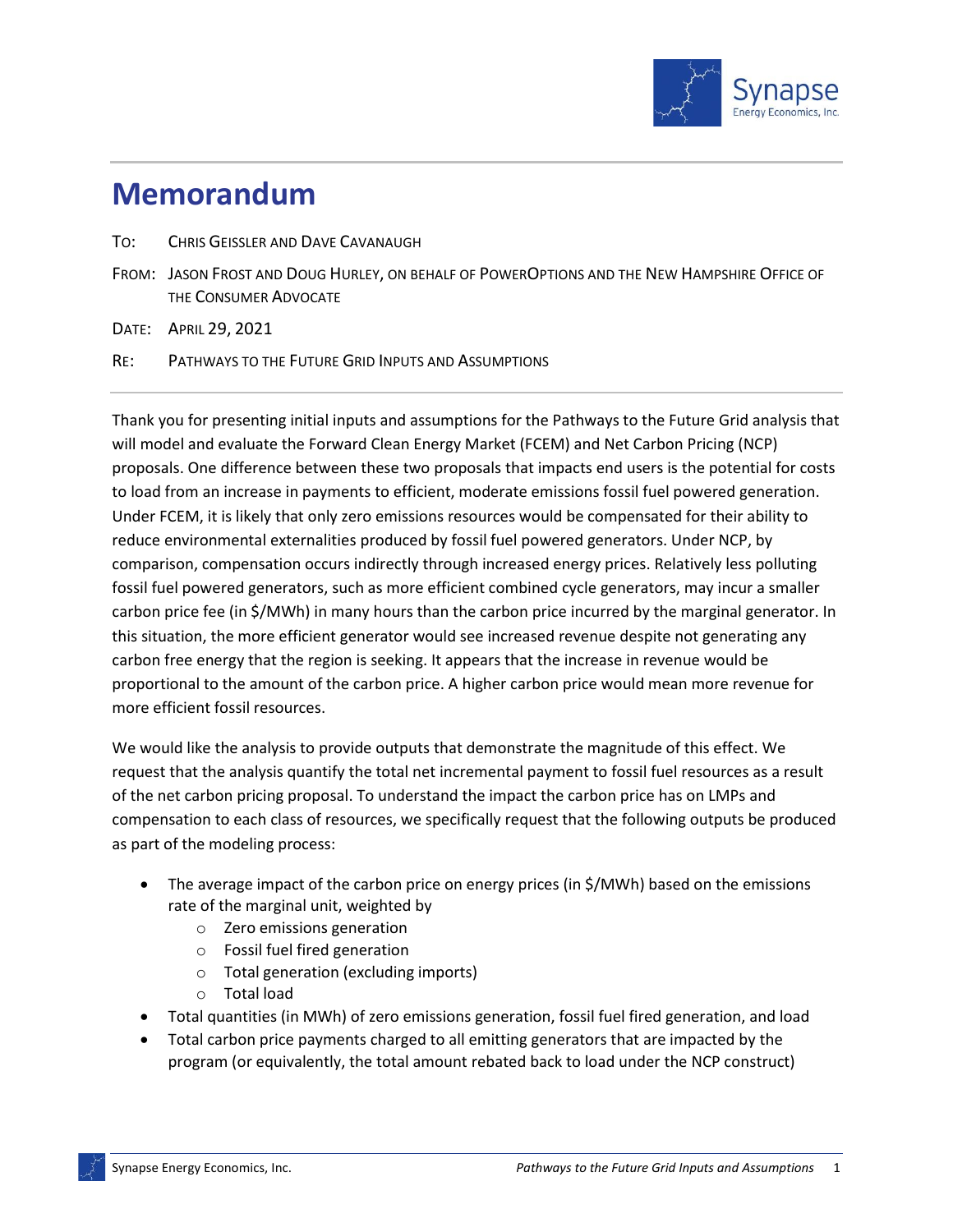

## **Memorandum**

- TO: CHRIS GEISSLER AND DAVE CAVANAUGH
- FROM: JASON FROST AND DOUG HURLEY, ON BEHALF OF POWEROPTIONS AND THE NEW HAMPSHIRE OFFICE OF THE CONSUMER ADVOCATE

DATE: APRIL 29, 2021

RE: PATHWAYS TO THE FUTURE GRID INPUTS AND ASSUMPTIONS

Thank you for presenting initial inputs and assumptions for the Pathways to the Future Grid analysis that will model and evaluate the Forward Clean Energy Market (FCEM) and Net Carbon Pricing (NCP) proposals. One difference between these two proposals that impacts end users is the potential for costs to load from an increase in payments to efficient, moderate emissions fossil fuel powered generation. Under FCEM, it is likely that only zero emissions resources would be compensated for their ability to reduce environmental externalities produced by fossil fuel powered generators. Under NCP, by comparison, compensation occurs indirectly through increased energy prices. Relatively less polluting fossil fuel powered generators, such as more efficient combined cycle generators, may incur a smaller carbon price fee (in \$/MWh) in many hours than the carbon price incurred by the marginal generator. In this situation, the more efficient generator would see increased revenue despite not generating any carbon free energy that the region is seeking. It appears that the increase in revenue would be proportional to the amount of the carbon price. A higher carbon price would mean more revenue for more efficient fossil resources.

We would like the analysis to provide outputs that demonstrate the magnitude of this effect. We request that the analysis quantify the total net incremental payment to fossil fuel resources as a result of the net carbon pricing proposal. To understand the impact the carbon price has on LMPs and compensation to each class of resources, we specifically request that the following outputs be produced as part of the modeling process:

- The average impact of the carbon price on energy prices (in \$/MWh) based on the emissions rate of the marginal unit, weighted by
	- o Zero emissions generation
	- o Fossil fuel fired generation
	- o Total generation (excluding imports)
	- o Total load
- Total quantities (in MWh) of zero emissions generation, fossil fuel fired generation, and load
- Total carbon price payments charged to all emitting generators that are impacted by the program (or equivalently, the total amount rebated back to load under the NCP construct)